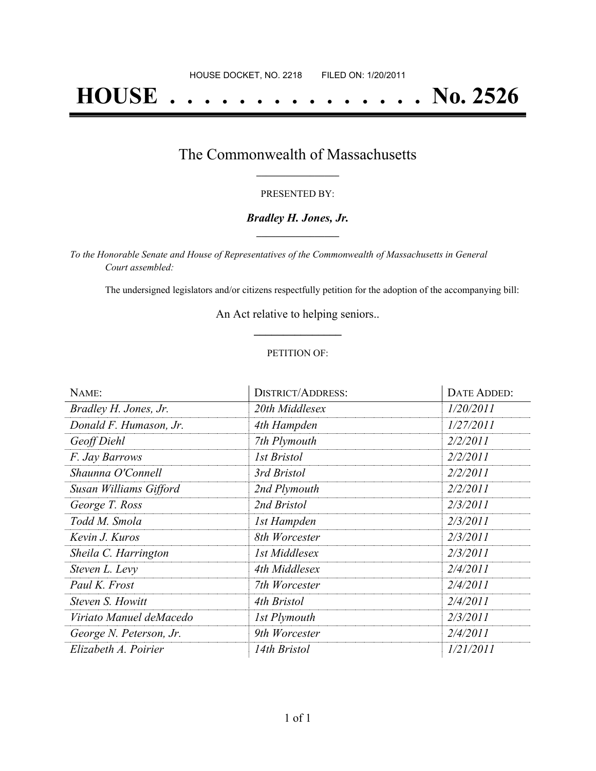# **HOUSE . . . . . . . . . . . . . . . No. 2526**

## The Commonwealth of Massachusetts **\_\_\_\_\_\_\_\_\_\_\_\_\_\_\_\_\_**

#### PRESENTED BY:

#### *Bradley H. Jones, Jr.* **\_\_\_\_\_\_\_\_\_\_\_\_\_\_\_\_\_**

*To the Honorable Senate and House of Representatives of the Commonwealth of Massachusetts in General Court assembled:*

The undersigned legislators and/or citizens respectfully petition for the adoption of the accompanying bill:

An Act relative to helping seniors.. **\_\_\_\_\_\_\_\_\_\_\_\_\_\_\_**

#### PETITION OF:

| NAME:                   | <b>DISTRICT/ADDRESS:</b> | DATE ADDED: |
|-------------------------|--------------------------|-------------|
| Bradley H. Jones, Jr.   | 20th Middlesex           | 1/20/2011   |
| Donald F. Humason, Jr.  | 4th Hampden              | 1/27/2011   |
| Geoff Diehl             | 7th Plymouth             | 2/2/2011    |
| F. Jay Barrows          | 1st Bristol              | 2/2/2011    |
| Shaunna O'Connell       | 3rd Bristol              | 2/2/2011    |
| Susan Williams Gifford  | 2nd Plymouth             | 2/2/2011    |
| George T. Ross          | 2nd Bristol              | 2/3/2011    |
| Todd M. Smola           | 1st Hampden              | 2/3/2011    |
| Kevin J. Kuros          | 8th Worcester            | 2/3/2011    |
| Sheila C. Harrington    | 1st Middlesex            | 2/3/2011    |
| Steven L. Levy          | 4th Middlesex            | 2/4/2011    |
| Paul K. Frost           | 7th Worcester            | 2/4/2011    |
| Steven S. Howitt        | 4th Bristol              | 2/4/2011    |
| Viriato Manuel deMacedo | <b>1st Plymouth</b>      | 2/3/2011    |
| George N. Peterson, Jr. | 9th Worcester            | 2/4/2011    |
| Elizabeth A. Poirier    | 14th Bristol             | 1/21/2011   |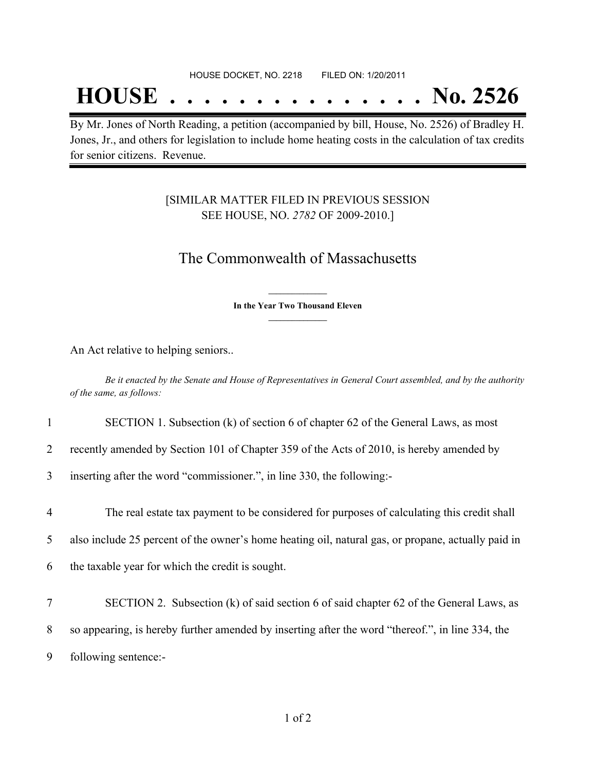## **HOUSE . . . . . . . . . . . . . . . No. 2526**

By Mr. Jones of North Reading, a petition (accompanied by bill, House, No. 2526) of Bradley H. Jones, Jr., and others for legislation to include home heating costs in the calculation of tax credits for senior citizens. Revenue.

### [SIMILAR MATTER FILED IN PREVIOUS SESSION SEE HOUSE, NO. *2782* OF 2009-2010.]

## The Commonwealth of Massachusetts

**\_\_\_\_\_\_\_\_\_\_\_\_\_\_\_ In the Year Two Thousand Eleven \_\_\_\_\_\_\_\_\_\_\_\_\_\_\_**

An Act relative to helping seniors..

Be it enacted by the Senate and House of Representatives in General Court assembled, and by the authority *of the same, as follows:*

| SECTION 1. Subsection (k) of section 6 of chapter 62 of the General Laws, as most |
|-----------------------------------------------------------------------------------|
|-----------------------------------------------------------------------------------|

2 recently amended by Section 101 of Chapter 359 of the Acts of 2010, is hereby amended by

3 inserting after the word "commissioner.", in line 330, the following:-

4 The real estate tax payment to be considered for purposes of calculating this credit shall

5 also include 25 percent of the owner's home heating oil, natural gas, or propane, actually paid in

6 the taxable year for which the credit is sought.

7 SECTION 2. Subsection (k) of said section 6 of said chapter 62 of the General Laws, as 8 so appearing, is hereby further amended by inserting after the word "thereof.", in line 334, the 9 following sentence:-